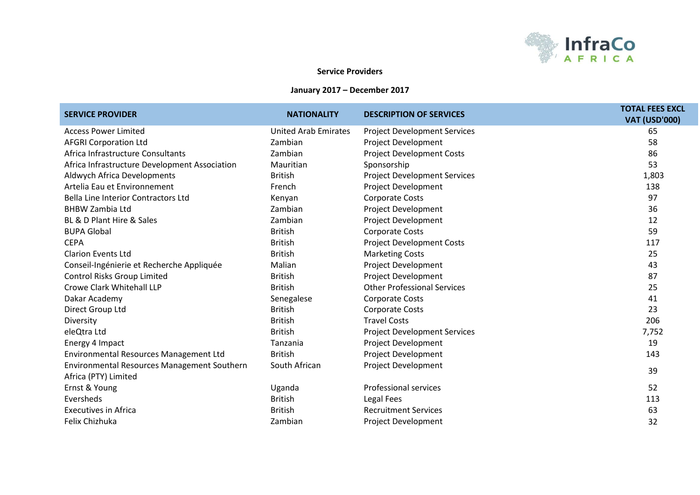

## **Service Providers**

## **January 2017 – December 2017**

| <b>SERVICE PROVIDER</b>                       | <b>NATIONALITY</b>          | <b>DESCRIPTION OF SERVICES</b>      | <b>TOTAL FEES EXCL</b><br><b>VAT (USD'000)</b> |
|-----------------------------------------------|-----------------------------|-------------------------------------|------------------------------------------------|
| <b>Access Power Limited</b>                   | <b>United Arab Emirates</b> | <b>Project Development Services</b> | 65                                             |
| <b>AFGRI Corporation Ltd</b>                  | Zambian                     | Project Development                 | 58                                             |
| Africa Infrastructure Consultants             | Zambian                     | <b>Project Development Costs</b>    | 86                                             |
| Africa Infrastructure Development Association | Mauritian                   | Sponsorship                         | 53                                             |
| Aldwych Africa Developments                   | <b>British</b>              | <b>Project Development Services</b> | 1,803                                          |
| Artelia Eau et Environnement                  | French                      | Project Development                 | 138                                            |
| Bella Line Interior Contractors Ltd           | Kenyan                      | Corporate Costs                     | 97                                             |
| <b>BHBW Zambia Ltd</b>                        | Zambian                     | Project Development                 | 36                                             |
| BL & D Plant Hire & Sales                     | Zambian                     | Project Development                 | 12                                             |
| <b>BUPA Global</b>                            | <b>British</b>              | Corporate Costs                     | 59                                             |
| <b>CEPA</b>                                   | <b>British</b>              | <b>Project Development Costs</b>    | 117                                            |
| <b>Clarion Events Ltd</b>                     | <b>British</b>              | <b>Marketing Costs</b>              | 25                                             |
| Conseil-Ingénierie et Recherche Appliquée     | Malian                      | Project Development                 | 43                                             |
| <b>Control Risks Group Limited</b>            | <b>British</b>              | Project Development                 | 87                                             |
| Crowe Clark Whitehall LLP                     | <b>British</b>              | <b>Other Professional Services</b>  | 25                                             |
| Dakar Academy                                 | Senegalese                  | <b>Corporate Costs</b>              | 41                                             |
| Direct Group Ltd                              | <b>British</b>              | <b>Corporate Costs</b>              | 23                                             |
| Diversity                                     | <b>British</b>              | <b>Travel Costs</b>                 | 206                                            |
| eleQtra Ltd                                   | <b>British</b>              | <b>Project Development Services</b> | 7,752                                          |
| Energy 4 Impact                               | Tanzania                    | Project Development                 | 19                                             |
| Environmental Resources Management Ltd        | <b>British</b>              | Project Development                 | 143                                            |
| Environmental Resources Management Southern   | South African               | Project Development                 | 39                                             |
| Africa (PTY) Limited                          |                             |                                     |                                                |
| Ernst & Young                                 | Uganda                      | <b>Professional services</b>        | 52                                             |
| Eversheds                                     | <b>British</b>              | Legal Fees                          | 113                                            |
| <b>Executives in Africa</b>                   | <b>British</b>              | <b>Recruitment Services</b>         | 63                                             |
| Felix Chizhuka                                | Zambian                     | <b>Project Development</b>          | 32                                             |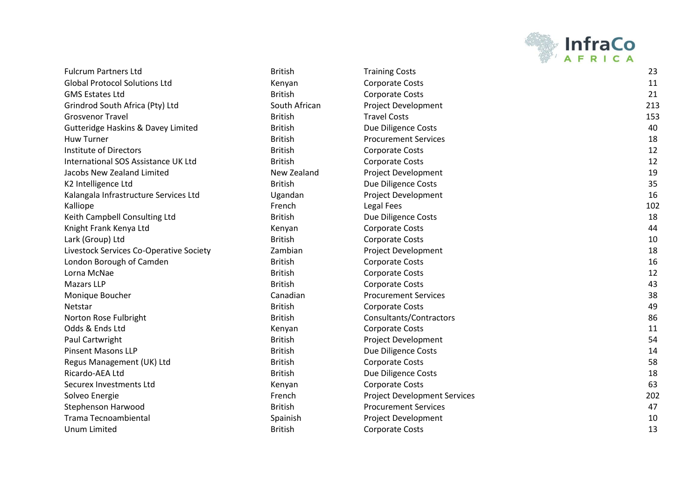

| <b>Fulcrum Partners Ltd</b>                   | <b>British</b> | <b>Training Costs</b>               | 23  |
|-----------------------------------------------|----------------|-------------------------------------|-----|
| <b>Global Protocol Solutions Ltd</b>          | Kenyan         | <b>Corporate Costs</b>              | 11  |
| <b>GMS Estates Ltd</b>                        | <b>British</b> | <b>Corporate Costs</b>              | 21  |
| Grindrod South Africa (Pty) Ltd               | South African  | Project Development                 | 213 |
| <b>Grosvenor Travel</b>                       | <b>British</b> | <b>Travel Costs</b>                 | 153 |
| <b>Gutteridge Haskins &amp; Davey Limited</b> | <b>British</b> | Due Diligence Costs                 | 40  |
| <b>Huw Turner</b>                             | <b>British</b> | <b>Procurement Services</b>         | 18  |
| Institute of Directors                        | <b>British</b> | <b>Corporate Costs</b>              | 12  |
| International SOS Assistance UK Ltd           | <b>British</b> | <b>Corporate Costs</b>              | 12  |
| Jacobs New Zealand Limited                    | New Zealand    | <b>Project Development</b>          | 19  |
| K2 Intelligence Ltd                           | <b>British</b> | Due Diligence Costs                 | 35  |
| Kalangala Infrastructure Services Ltd         | Ugandan        | Project Development                 | 16  |
| Kalliope                                      | French         | Legal Fees                          | 102 |
| Keith Campbell Consulting Ltd                 | <b>British</b> | Due Diligence Costs                 | 18  |
| Knight Frank Kenya Ltd                        | Kenyan         | <b>Corporate Costs</b>              | 44  |
| Lark (Group) Ltd                              | <b>British</b> | <b>Corporate Costs</b>              | 10  |
| Livestock Services Co-Operative Society       | Zambian        | Project Development                 | 18  |
| London Borough of Camden                      | <b>British</b> | <b>Corporate Costs</b>              | 16  |
| Lorna McNae                                   | <b>British</b> | <b>Corporate Costs</b>              | 12  |
| <b>Mazars LLP</b>                             | <b>British</b> | <b>Corporate Costs</b>              | 43  |
| Monique Boucher                               | Canadian       | <b>Procurement Services</b>         | 38  |
| Netstar                                       | <b>British</b> | <b>Corporate Costs</b>              | 49  |
| Norton Rose Fulbright                         | <b>British</b> | Consultants/Contractors             | 86  |
| Odds & Ends Ltd                               | Kenyan         | <b>Corporate Costs</b>              | 11  |
| Paul Cartwright                               | <b>British</b> | Project Development                 | 54  |
| <b>Pinsent Masons LLP</b>                     | <b>British</b> | Due Diligence Costs                 | 14  |
| Regus Management (UK) Ltd                     | <b>British</b> | <b>Corporate Costs</b>              | 58  |
| Ricardo-AEA Ltd                               | <b>British</b> | Due Diligence Costs                 | 18  |
| Securex Investments Ltd                       | Kenyan         | <b>Corporate Costs</b>              | 63  |
| Solveo Energie                                | French         | <b>Project Development Services</b> | 202 |
| Stephenson Harwood                            | <b>British</b> | <b>Procurement Services</b>         | 47  |
| <b>Trama Tecnoambiental</b>                   | Spainish       | Project Development                 | 10  |
| Unum Limited                                  | <b>Rritish</b> | Corporate Costs                     | 13  |